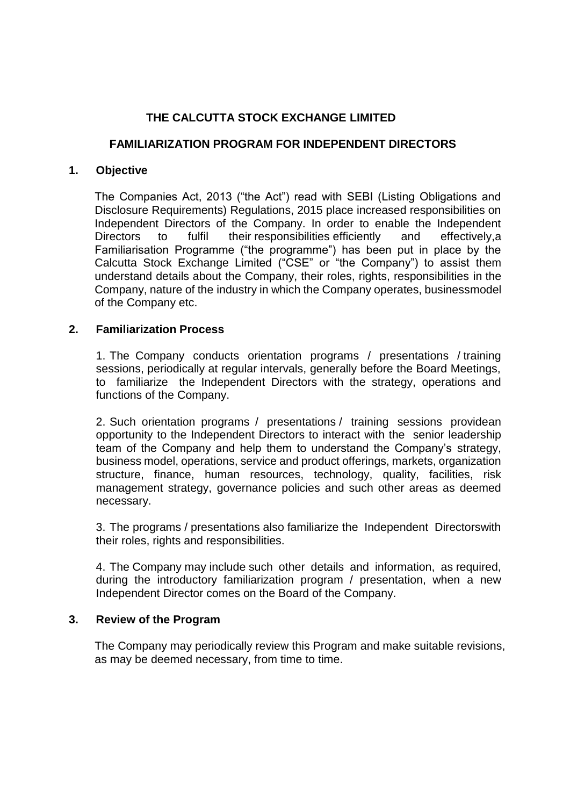# **THE CALCUTTA STOCK EXCHANGE LIMITED**

## **FAMILIARIZATION PROGRAM FOR INDEPENDENT DIRECTORS**

#### **1. Objective**

The Companies Act, 2013 ("the Act") read with SEBI (Listing Obligations and Disclosure Requirements) Regulations, 2015 place increased responsibilities on Independent Directors of the Company. In order to enable the Independent Directors to fulfil their responsibilities efficiently and effectively, a Familiarisation Programme ("the programme") has been put in place by the Calcutta Stock Exchange Limited ("CSE" or "the Company") to assist them understand details about the Company, their roles, rights, responsibilities in the Company, nature of the industry in which the Company operates, businessmodel of the Company etc.

### **2. Familiarization Process**

1. The Company conducts orientation programs / presentations / training sessions, periodically at regular intervals, generally before the Board Meetings, to familiarize the Independent Directors with the strategy, operations and functions of the Company.

2. Such orientation programs / presentations / training sessions providean opportunity to the Independent Directors to interact with the senior leadership team of the Company and help them to understand the Company's strategy, business model, operations, service and product offerings, markets, organization structure, finance, human resources, technology, quality, facilities, risk management strategy, governance policies and such other areas as deemed necessary.

3. The programs / presentations also familiarize the Independent Directorswith their roles, rights and responsibilities.

4. The Company may include such other details and information, as required, during the introductory familiarization program / presentation, when a new Independent Director comes on the Board of the Company.

#### **3. Review of the Program**

The Company may periodically review this Program and make suitable revisions, as may be deemed necessary, from time to time.